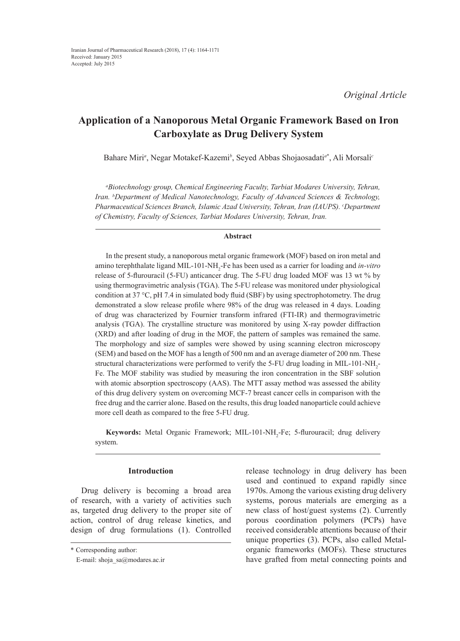# **Application of a Nanoporous Metal Organic Framework Based on Iron Carboxylate as Drug Delivery System**

Bahare Miri*<sup>a</sup>* , Negar Motakef-Kazemi*<sup>b</sup>* , Seyed Abbas Shojaosadati*<sup>a</sup>*\* , Ali Morsali*<sup>c</sup>*

*a Biotechnology group, Chemical Engineering Faculty, Tarbiat Modares University, Tehran, Iran. <sup>b</sup> Department of Medical Nanotechnology, Faculty of Advanced Sciences & Technology, Pharmaceutical Sciences Branch, Islamic Azad University, Tehran, Iran (IAUPS). <sup>c</sup> Department of Chemistry, Faculty of Sciences, Tarbiat Modares University, Tehran, Iran.*

## **Abstract**

In the present study, a nanoporous metal organic framework (MOF) based on iron metal and amino terephthalate ligand MIL-101-NH<sub>2</sub>-Fe has been used as a carrier for loading and *in-vitro* release of 5-flurouracil (5-FU) anticancer drug. The 5-FU drug loaded MOF was 13 wt % by using thermogravimetric analysis (TGA). The 5-FU release was monitored under physiological condition at 37 °C, pH 7.4 in simulated body fluid (SBF) by using spectrophotometry. The drug demonstrated a slow release profile where 98% of the drug was released in 4 days. Loading of drug was characterized by Fournier transform infrared (FTI-IR) and thermogravimetric analysis (TGA). The crystalline structure was monitored by using X-ray powder diffraction (XRD) and after loading of drug in the MOF, the pattern of samples was remained the same. The morphology and size of samples were showed by using scanning electron microscopy (SEM) and based on the MOF has a length of 500 nm and an average diameter of 200 nm. These structural characterizations were performed to verify the 5-FU drug loading in MIL-101-NH<sub>2</sub>-Fe. The MOF stability was studied by measuring the iron concentration in the SBF solution with atomic absorption spectroscopy (AAS). The MTT assay method was assessed the ability of this drug delivery system on overcoming MCF-7 breast cancer cells in comparison with the free drug and the carrier alone. Based on the results, this drug loaded nanoparticle could achieve more cell death as compared to the free 5-FU drug.

**Keywords:** Metal Organic Framework; MIL-101-NH<sub>2</sub>-Fe; 5-flurouracil; drug delivery system.

# **Introduction**

Drug delivery is becoming a broad area of research, with a variety of activities such as, targeted drug delivery to the proper site of action, control of drug release kinetics, and design of drug formulations (1). Controlled release technology in drug delivery has been used and continued to expand rapidly since 1970s. Among the various existing drug delivery systems, porous materials are emerging as a new class of host/guest systems (2). Currently porous coordination polymers (PCPs) have received considerable attentions because of their unique properties (3). PCPs, also called Metalorganic frameworks (MOFs). These structures have grafted from metal connecting points and

<sup>\*</sup> Corresponding author:

E-mail: shoja\_sa@modares.ac.ir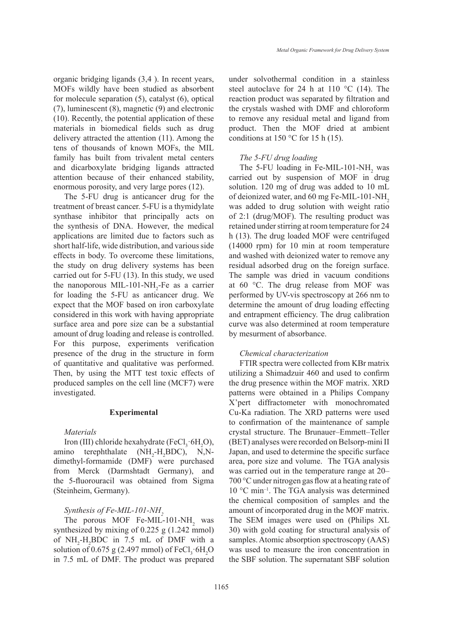organic bridging ligands (3,4 ). In recent years, MOFs wildly have been studied as absorbent for molecule separation (5), catalyst (6), optical (7), luminescent (8), magnetic (9) and electronic (10). Recently, the potential application of these materials in biomedical fields such as drug delivery attracted the attention (11). Among the tens of thousands of known MOFs, the MIL family has built from trivalent metal centers and dicarboxylate bridging ligands attracted attention because of their enhanced stability, enormous porosity, and very large pores (12).

The 5-FU drug is anticancer drug for the treatment of breast cancer. 5-FU is a thymidylate synthase inhibitor that principally acts on the synthesis of DNA. However, the medical applications are limited due to factors such as short half-life, wide distribution, and various side effects in body. To overcome these limitations, the study on drug delivery systems has been carried out for 5-FU (13). In this study, we used the nanoporous MIL-101-NH<sub>2</sub>-Fe as a carrier for loading the 5-FU as anticancer drug. We expect that the MOF based on iron carboxylate considered in this work with having appropriate surface area and pore size can be a substantial amount of drug loading and release is controlled. For this purpose, experiments verification presence of the drug in the structure in form of quantitative and qualitative was performed. Then, by using the MTT test toxic effects of produced samples on the cell line (MCF7) were investigated.

### **Experimental**

# *Materials*

Iron (III) chloride hexahydrate (FeCl<sub>3</sub>·6H<sub>2</sub>O), amino terephthalate  $(NH_2-H_2BDC)$ , N,Ndimethyl-formamide (DMF) were purchased from Merck (Darmshtadt Germany), and the 5-fluorouracil was obtained from Sigma (Steinheim, Germany).

#### *Synthesis of Fe-MIL-101-NH*<sub>2</sub>

The porous MOF Fe-MIL-101-NH<sub>2</sub> was synthesized by mixing of 0.225 g (1.242 mmol) of  $NH<sub>2</sub>-H<sub>2</sub>BDC$  in 7.5 mL of DMF with a solution of 0.675 g (2.497 mmol) of  $FeCl<sub>3</sub>·6H<sub>2</sub>O$ in 7.5 mL of DMF. The product was prepared

under solvothermal condition in a stainless steel autoclave for 24 h at 110  $^{\circ}$ C (14). The reaction product was separated by filtration and the crystals washed with DMF and chloroform to remove any residual metal and ligand from product. Then the MOF dried at ambient conditions at 150  $^{\circ}$ C for 15 h (15).

#### *The 5-FU drug loading*

The 5-FU loading in Fe-MIL-101-NH<sub>2</sub> was carried out by suspension of MOF in drug solution. 120 mg of drug was added to 10 mL of deionized water, and 60 mg Fe-MIL-101-NH<sup>2</sup> was added to drug solution with weight ratio of 2:1 (drug/MOF). The resulting product was retained under stirring at room temperature for 24 h (13). The drug loaded MOF were centrifuged (14000 rpm) for 10 min at room temperature and washed with deionized water to remove any residual adsorbed drug on the foreign surface. The sample was dried in vacuum conditions at 60 °C. The drug release from MOF was performed by UV-vis spectroscopy at 266 nm to determine the amount of drug loading effecting and entrapment efficiency. The drug calibration curve was also determined at room temperature by mesurment of absorbance.

#### *Chemical characterization*

FTIR spectra were collected from KBr matrix utilizing a Shimadzuir 460 and used to confirm the drug presence within the MOF matrix. XRD patterns were obtained in a Philips Company X'pert diffractometer with monochromated Cu-Ka radiation. The XRD patterns were used to confirmation of the maintenance of sample crystal structure. The Brunauer–Emmett–Teller (BET) analyses were recorded on Belsorp-mini II Japan, and used to determine the specific surface area, pore size and volume. The TGA analysis was carried out in the temperature range at 20– 700 °C under nitrogen gas flow at a heating rate of 10 °C min–1. The TGA analysis was determined the chemical composition of samples and the amount of incorporated drug in the MOF matrix. The SEM images were used on (Philips XL 30) with gold coating for structural analysis of samples. Atomic absorption spectroscopy (AAS) was used to measure the iron concentration in the SBF solution. The supernatant SBF solution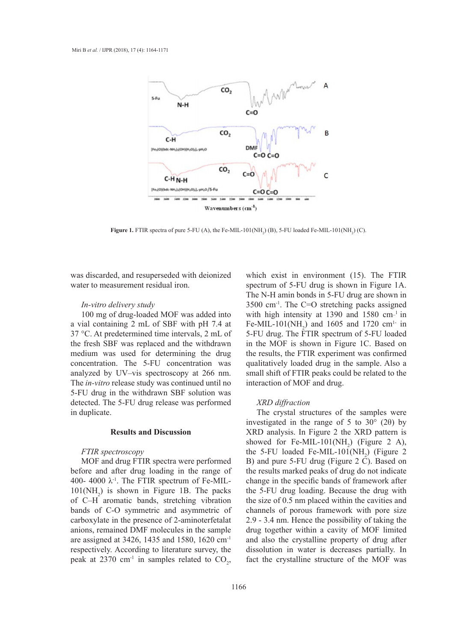

**Figure 1.** FTIR spectra of pure 5-FU (A), the Fe-MIL-101(NH<sub>2</sub>) (B), 5-FU loaded Fe-MIL-101(NH<sub>2</sub>) (C).

was discarded, and resuperseded with deionized water to measurement residual iron.

### *In-vitro delivery study*

100 mg of drug-loaded MOF was added into a vial containing 2 mL of SBF with pH 7.4 at 37 °C. At predetermined time intervals, 2 mL of the fresh SBF was replaced and the withdrawn medium was used for determining the drug concentration. The 5-FU concentration was analyzed by UV–vis spectroscopy at 266 nm. The *in-vitro* release study was continued until no interaction of MOF and drug. 5-FU drug in the withdrawn SBF solution was detected. The 5-FU drug release was performed in duplicate.

# **Results and Discussion**

# *FTIR spectroscopy*

MOF and drug FTIR spectra were performed before and after drug loading in the range of 400- 4000  $\lambda$ <sup>-1</sup>. The FTIR spectrum of Fe-MIL- $101(NH<sub>2</sub>)$  is shown in Figure 1B. The packs of C–H aromatic bands, stretching vibration bands of C-O symmetric and asymmetric of carboxylate in the presence of 2-aminoterfetalat anions, remained DMF molecules in the sample are assigned at 3426, 1435 and 1580, 1620 cm-1 respectively. According to literature survey, the peak at 2370 cm<sup>-1</sup> in samples related to  $CO_2$ ,

which exist in environment (15). The FTIR ment residual iron. Spectrum of 5-FU drug is shown in Figure 1A. The N-H amin bonds in 5-FU drug are shown in  $\frac{1}{2}$   $\frac{1}{2}$   $\frac{1}{2}$   $\frac{1}{2}$   $\frac{1}{2}$   $\frac{1}{2}$   $\frac{1}{2}$   $\frac{1}{2}$   $\frac{1}{2}$   $\frac{1}{2}$   $\frac{1}{2}$   $\frac{1}{2}$   $\frac{1}{2}$   $\frac{1}{2}$   $\frac{1}{2}$   $\frac{1}{2}$   $\frac{1}{2}$   $\frac{1}{2}$   $\frac{1}{2}$   $\frac{1}{2}$   $\frac{1}{2}$   $\frac{1}{2$ g-loaded MOF was added into with high intensity at 1390 and 1580 cm<sup>-1</sup> in Fe-MIL-101(NH<sub>2</sub>) and 1605 and 1720 cm<sup>1-</sup> in  $\frac{2}{\pi}$  marked peaks of drug do not indicate change in the spectrum of  $\frac{1}{2}$  of  $\frac{1}{2}$  of  $\frac{1}{2}$  of  $\frac{1}{2}$  of  $\frac{1}{2}$  of  $\frac{1}{2}$  of  $\frac{1}{2}$  of  $\frac{1}{2}$  of  $\frac{1}{2}$  of  $\frac{1}{2}$  of  $\frac{1}{2}$  or  $\frac{$ as replaced and the withdrawn in the MOF is shown in Figure 1C. Based on ed for determining the drug the results, the FTIR experiment was confirmed qualitatively loaded drug in the sample. Also a -vis spectroscopy at 266 nm. small shift of FTIR peaks could be related to the interaction of MOF and drug.

### *XRD diffraction*

The crystal structures of the samples were investigated in the range of 5 to 30° (2θ) by XRD analysis. In Figure 2 the XRD pattern is showed for Fe-MIL-101(NH<sub>2</sub>) (Figure 2 A), the 5-FU loaded Fe-MIL-101( $NH<sub>2</sub>$ ) (Figure 2 B) and pure 5-FU drug (Figure 2 C). Based on the results marked peaks of drug do not indicate change in the specific bands of framework after the 5-FU drug loading. Because the drug with the size of 0.5 nm placed within the cavities and channels of porous framework with pore size 2.9 - 3.4 nm. Hence the possibility of taking the drug together within a cavity of MOF limited and also the crystalline property of drug after dissolution in water is decreases partially. In fact the crystalline structure of the MOF was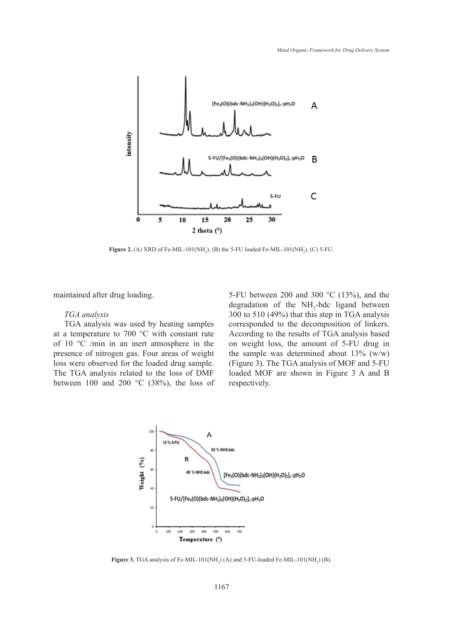

**Figure 2.** (A) XRD of Fe-MIL-101(NH<sub>2</sub>), (B) the 5-FU loaded Fe-MIL-101(NH<sub>2</sub>), (C) 5-FU.

maintained after drug loading.

## *TGA analysis*

TGA analysis was used by heating samples at a temperature to 700 °C with constant rate of 10 °C /min in an inert atmosphere in the presence of nitrogen gas. Four areas of weight loss were observed for the loaded drug sample. The TGA analysis related to the loss of DMF between 100 and 200  $\degree$ C (38%), the loss of respectively.

5-FU between 200 and 300 °C (13%), and the degradation of the  $NH<sub>2</sub>$ -bdc ligand between  $\frac{1}{300}$  to 510 (49%) that this step in TGA analysis corresponded to the decomposition of linkers. relativishs was ased by heating samples corresponded to the decomposition of finiters.<br>Imperature to 700 °C with constant rate According to the results of TGA analysis based  $\degree$ C /min in an inert atmosphere in the on weight loss, the amount of 5-FU drug in the sample was determined about  $13\%$  (w/w) ere observed for the loaded drug sample. (Figure 3). The TGA analysis of MOF and 5-FU loaded MOF are shown in Figure 3 A and B respectively.



**Figure 3.** TGA analysis of Fe-MIL-101(NH<sub>2</sub>) (A) and 5-FU-loaded Fe-MIL-101(NH<sub>2</sub>) (B).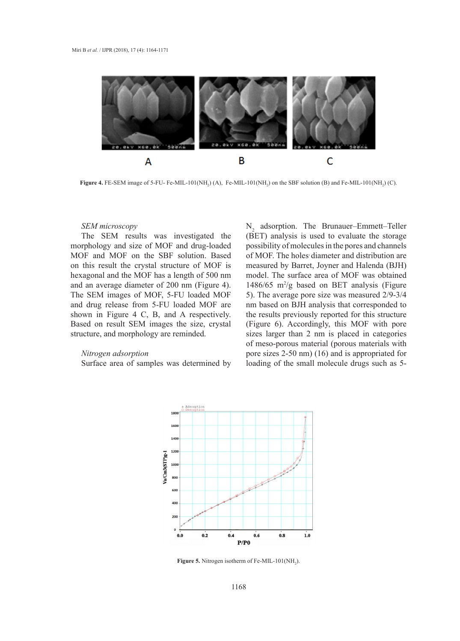

**Figure 4.** FE-SEM image of 5-FU- Fe-MIL-101(NH<sub>2</sub>) (A), Fe-MIL-101(NH<sub>2</sub>) on the SBF solution (B) and Fe-MIL-101(NH<sub>2</sub>) (C).

#### *SEM microscopy*

The SEM results was investigated the morphology and size of MOF and drug-loaded MOF and MOF on the SBF solution. Based on this result the crystal structure of MOF is hexagonal and the MOF has a length of 500 nm and an average diameter of 200 nm (Figure 4). The SEM images of MOF, 5-FU loaded MOF and drug release from 5-FU loaded MOF are shown in Figure 4 C, B, and A respectively. Based on result SEM images the size, crystal (Figure structure, and morphology are reminded.

#### *Nitrogen adsorption*

Surface area of samples was determined by

 $N_2$  adsorption. The Brunauer–Emmett–Teller (BET) analysis is used to evaluate the storage possibility of molecules in the pores and channels of MOF. The holes diameter and distribution are measured by Barret, Joyner and Halenda (BJH) xagonal and the MOF has a length of 500 nm model. The surface area of MOF was obtained 1486/65  $\text{m}^2/\text{g}$  based on BET analysis (Figure EXEM images of MOF, 5-FU loaded MOF  $=$  5). The average pore size was measured 2/9-3/4 nm based on BJH analysis that corresponded to In the results previously reported for this structure of this structure of this structure distribution in Figure 4 C, B, and A respectively. the results previously reported for this structure (Figure 6). Accordingly, this MOF with pore sizes larger than  $2 \text{ nm}$  is placed in categories of meso-porous material (porous materials with  $\sim$  3.5%) (4.6%) and based on BJH and correspondent to the to the the to the the that correspondent to the to the to the to the to the to the to the to the to the to the to t pore sizes 2-50 nm) (16) and is appropriated for Surface area of samples was determined by loading of the small molecule drugs such as 5-



**Figure 5.** Nitrogen isotherm of Fe-MIL-101 $(NH_2)$ .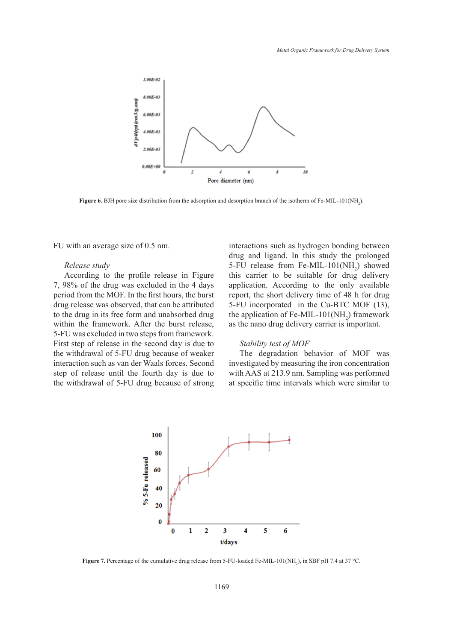

**Figure 6.** BJH pore size distribution from the adsorption and desorption branch of the isotherm of Fe-MIL-101(NH<sub>2</sub>).

FU with an average size of 0.5 nm.

## *Release study*

According to the profile release in Figure 7, 98% of the drug was excluded in the 4 days period from the MOF. In the first hours, the burst drug release was observed, that can be attributed to the drug in its free form and unabsorbed drug within the framework. After the burst release, step of release until the fourth day of release, which can define the grap derivery cannot be important of  $5-FU$  was excluded in two steps from framework. First step of release in the second day is due to Stability test of MOF the withdrawal of 5-FU drug because of weaker interaction such as van der Waals forces. Second step of release until the fourth day is due to the withdrawal of 5-FU drug because of strong

interactions such as hydrogen bonding between drug and ligand. In this study the prolonged distribution of the profile release in  $\frac{1}{2}$  drug and ligand. In this study the prolonged study  $5-FU$  release from Fe-MIL-101(NH<sub>2</sub>) showed this carrier to be suitable for drug delivery the drug was excluded in the 4 days application. According to the only available is the MOF. In the first hours, the burst report, the short delivery time of 48 h for drug  $\frac{1}{2}$ 5-FU incorporated in the Cu-BTC MOF (13), in its free form and unabsorbed drug be application of Fe-MIL-101(NH<sub>2</sub>) framework as the nano drug delivery carrier is important.

#### *Stability test of MOF*

The degradation behavior of MOF was such as van der Waals forces. Second investigated by measuring the iron concentration ease until the fourth day is due to with AAS at  $213.9$  nm. Sampling was performed at specific time intervals which were similar to



**Figure 7.** Percentage of the cumulative drug release from 5-FU-loaded Fe-MIL-101(NH<sub>2</sub>), in SBF pH 7.4 at 37 °C.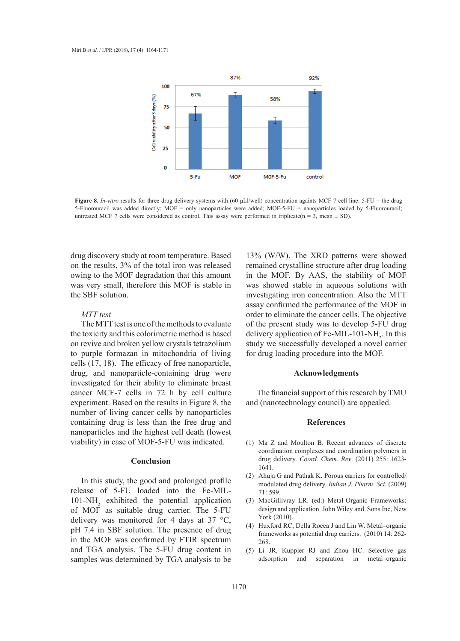

Figure 8. In-vitro results for three drug delivery systems with (60 µLl/well) concentration againts MCF 7 cell line: 5-FU = the drug untreated MCF 7 cells were considered as control. This assay were performed in triplicate(n = 3, mean  $\pm$  SD). 5-Fluorouracil was added directly; MOF = only nanoparticles were added; MOF-5-FU = nanoparticles loaded by 5-Fluorouracil;

drug discovery study at room temperature. Based on the results, 3% of the total iron was released owing to the MOF degradation that this amount was very small, therefore this MOF is stable in the SBF solution.

# *MTT test*

The MTT test is one of the methods to evaluate the toxicity and this colorimetric method is based on revive and broken yellow crystals tetrazolium to purple formazan in mitochondria of living cells (17, 18). The efficacy of free nanoparticle, drug, and nanoparticle-containing drug were **Acknowledgments** investigated for their ability to eliminate breast cancer MCF-7 cells in 72 h by cell culture The financial support of this research b experiment. Based on the results in Figure 8, the number of living cancer cells by nanoparticles containing drug is less than the free drug and **References** nanoparticles and the highest cell death (lowest viability) in case of MOF-5-FU was indicated. formazan in mitochondria of living for drug loading procedure into the MOF.

#### **Conclusion**

In this study, the good and prolonged profile release of 5-FU loaded into the Fe-MIL- $101-NH<sub>2</sub>$  exhibited the potential application of MOF as suitable drug carrier. The 5-FU delivery was monitored for 4 days at 37 °C, pH 7.4 in SBF solution. The presence of drug in the MOF was confirmed by FTIR spectrum and TGA analysis. The 5-FU drug content in samples was determined by TGA analysis to be

13% (W/W). The XRD patterns were showed remained crystalline structure after drug loading in the MOF. By AAS, the stability of MOF n was showed stable in aqueous solutions with investigating iron concentration. Also the MTT assay confirmed the performance of the MOF in order to eliminate the cancer cells. The objective T test is one of the methods to evaluate of the present study was to develop 5-FU drug delivery application of Fe-MIL-101-NH<sub>2</sub>. In this nd broken yellow crystals tetrazolium study we successfully developed a novel carrier

## **Acknowledgments**

The financial support of this research by TMU Based on the results in Figure 8, the and (nanotechnology council) are appealed.

#### **References**

- $(1)$  Ma Z and Moulton B. Recent advances of discrete coordination complexes and coordination polymers in drug delivery. *Coord. Chem. Rev*. (2011) 255: 1623- 1641.
- Ahuja G and Pathak K. Porous carriers for controlled/ (2) modulated drug delivery. *Indian J. Pharm. Sci*. (2009) 71: 599.
- MacGillivray LR. (ed.) Metal-Organic Frameworks: (3) design and application. John Wiley and Sons Inc, New York (2010).
- Huxford RC, Della Rocca J and Lin W. Metal–organic (4) frameworks as potential drug carriers. (2010) 14: 262- 268.
- (5) Li JR, Kuppler RJ and Zhou HC. Selective gas adsorption and separation in metal–organic